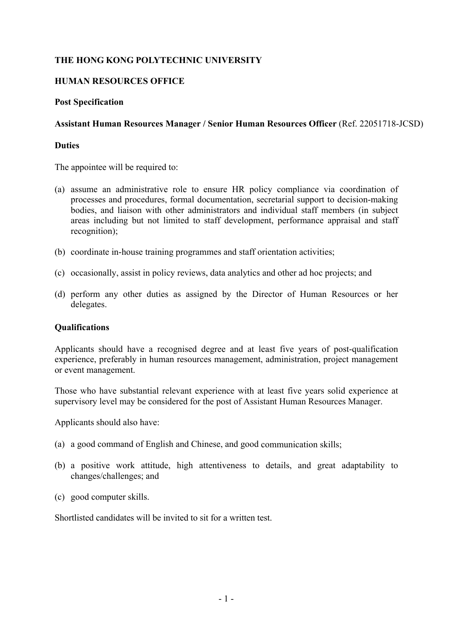# **THE HONG KONG POLYTECHNIC UNIVERSITY**

## **HUMAN RESOURCES OFFICE**

#### **Post Specification**

#### **Assistant Human Resources Manager / Senior Human Resources Officer** (Ref. 22051718-JCSD)

### **Duties**

The appointee will be required to:

- (a) assume an administrative role to ensure HR policy compliance via coordination of processes and procedures, formal documentation, secretarial support to decision-making bodies, and liaison with other administrators and individual staff members (in subject areas including but not limited to staff development, performance appraisal and staff recognition);
- (b) coordinate in-house training programmes and staff orientation activities;
- (c) occasionally, assist in policy reviews, data analytics and other ad hoc projects; and
- (d) perform any other duties as assigned by the Director of Human Resources or her delegates.

#### **Qualifications**

Applicants should have a recognised degree and at least five years of post-qualification experience, preferably in human resources management, administration, project management or event management.

Those who have substantial relevant experience with at least five years solid experience at supervisory level may be considered for the post of Assistant Human Resources Manager.

Applicants should also have:

- (a) a good command of English and Chinese, and good communication skills;
- (b) a positive work attitude, high attentiveness to details, and great adaptability to changes/challenges; and
- (c) good computer skills.

Shortlisted candidates will be invited to sit for a written test.